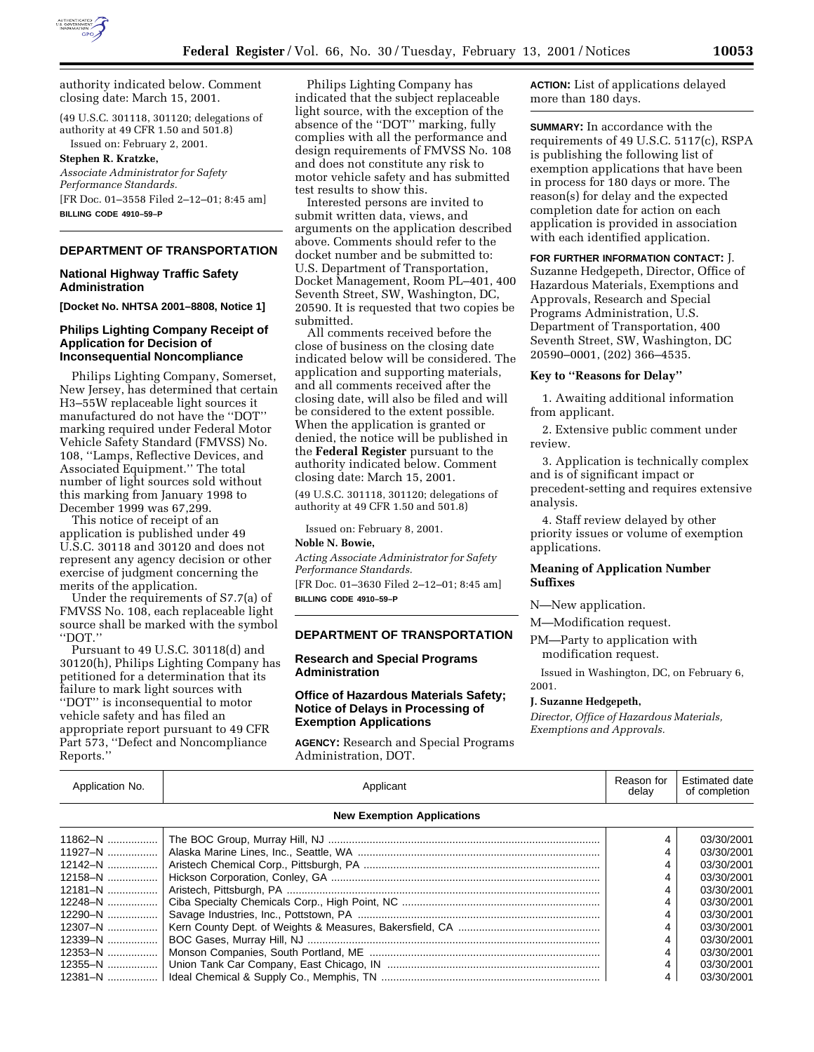

authority indicated below. Comment closing date: March 15, 2001.

(49 U.S.C. 301118, 301120; delegations of authority at 49 CFR 1.50 and  $501.8$ ) Issued on: February 2, 2001.

**Stephen R. Kratzke,** *Associate Administrator for Safety Performance Standards.* [FR Doc. 01–3558 Filed 2–12–01; 8:45 am] **BILLING CODE 4910–59–P**

# **DEPARTMENT OF TRANSPORTATION**

# **National Highway Traffic Safety Administration**

**[Docket No. NHTSA 2001–8808, Notice 1]**

# **Philips Lighting Company Receipt of Application for Decision of Inconsequential Noncompliance**

Philips Lighting Company, Somerset, New Jersey, has determined that certain H3–55W replaceable light sources it manufactured do not have the ''DOT'' marking required under Federal Motor Vehicle Safety Standard (FMVSS) No. 108, ''Lamps, Reflective Devices, and Associated Equipment.'' The total number of light sources sold without this marking from January 1998 to December 1999 was 67,299.

This notice of receipt of an application is published under 49 U.S.C. 30118 and 30120 and does not represent any agency decision or other exercise of judgment concerning the merits of the application.

Under the requirements of S7.7(a) of FMVSS No. 108, each replaceable light source shall be marked with the symbol ''DOT.''

Pursuant to 49 U.S.C. 30118(d) and 30120(h), Philips Lighting Company has petitioned for a determination that its failure to mark light sources with ''DOT'' is inconsequential to motor vehicle safety and has filed an appropriate report pursuant to 49 CFR Part 573, ''Defect and Noncompliance Reports.''

Philips Lighting Company has indicated that the subject replaceable light source, with the exception of the absence of the ''DOT'' marking, fully complies with all the performance and design requirements of FMVSS No. 108 and does not constitute any risk to motor vehicle safety and has submitted test results to show this.

Interested persons are invited to submit written data, views, and arguments on the application described above. Comments should refer to the docket number and be submitted to: U.S. Department of Transportation, Docket Management, Room PL–401, 400 Seventh Street, SW, Washington, DC, 20590. It is requested that two copies be submitted.

All comments received before the close of business on the closing date indicated below will be considered. The application and supporting materials, and all comments received after the closing date, will also be filed and will be considered to the extent possible. When the application is granted or denied, the notice will be published in the **Federal Register** pursuant to the authority indicated below. Comment closing date: March 15, 2001.

(49 U.S.C. 301118, 301120; delegations of authority at 49 CFR 1.50 and 501.8)

Issued on: February 8, 2001.

# **Noble N. Bowie,**

*Acting Associate Administrator for Safety Performance Standards.* [FR Doc. 01–3630 Filed 2–12–01; 8:45 am]

**BILLING CODE 4910–59–P**

# **DEPARTMENT OF TRANSPORTATION**

# **Research and Special Programs Administration**

### **Office of Hazardous Materials Safety; Notice of Delays in Processing of Exemption Applications**

**AGENCY:** Research and Special Programs Administration, DOT.

**ACTION:** List of applications delayed more than 180 days.

**SUMMARY:** In accordance with the requirements of 49 U.S.C. 5117(c), RSPA is publishing the following list of exemption applications that have been in process for 180 days or more. The reason(s) for delay and the expected completion date for action on each application is provided in association with each identified application.

# **FOR FURTHER INFORMATION CONTACT:** J.

Suzanne Hedgepeth, Director, Office of Hazardous Materials, Exemptions and Approvals, Research and Special Programs Administration, U.S. Department of Transportation, 400 Seventh Street, SW, Washington, DC 20590–0001, (202) 366–4535.

#### **Key to ''Reasons for Delay''**

1. Awaiting additional information from applicant.

2. Extensive public comment under review.

3. Application is technically complex and is of significant impact or precedent-setting and requires extensive analysis.

4. Staff review delayed by other priority issues or volume of exemption applications.

# **Meaning of Application Number Suffixes**

N—New application.

M—Modification request.

# PM—Party to application with modification request.

Issued in Washington, DC, on February 6, 2001.

# **J. Suzanne Hedgepeth,**

*Director, Office of Hazardous Materials, Exemptions and Approvals.*

| Application No.                   | Applicant | Reason for<br>delav | <b>Estimated date</b><br>of completion |  |  |  |
|-----------------------------------|-----------|---------------------|----------------------------------------|--|--|--|
| <b>New Exemption Applications</b> |           |                     |                                        |  |  |  |
| 11862-N                           |           |                     | 03/30/2001                             |  |  |  |
| $11927 - N$                       |           |                     | 03/30/2001                             |  |  |  |
| 12142-N                           |           |                     | 03/30/2001                             |  |  |  |
| 12158-N                           |           |                     | 03/30/2001                             |  |  |  |
| $12181 - N$                       |           |                     | 03/30/2001                             |  |  |  |
| $12248 - N$                       |           |                     | 03/30/2001                             |  |  |  |
| $12290 - N$                       |           |                     | 03/30/2001                             |  |  |  |
| $12307 - N$                       |           |                     | 03/30/2001                             |  |  |  |
| $12339 - N$                       |           |                     | 03/30/2001                             |  |  |  |
| $12353 - N$                       |           |                     | 03/30/2001                             |  |  |  |
| $12355 - N$                       |           |                     | 03/30/2001                             |  |  |  |
|                                   |           |                     | 03/30/2001                             |  |  |  |